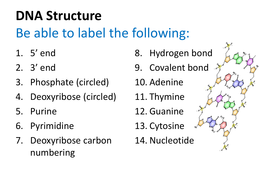- 1. 5' end
- 2. 3' end
- 3. Phosphate (circled)
- 4. Deoxyribose (circled)
- 5. Purine
- 6. Pyrimidine
- 7. Deoxyribose carbon numbering
- 8. Hydrogen bond
- 9. Covalent bond
- 10. Adenine
- 11. Thymine
- 12. Guanine
- 13. Cytosine
- 14. Nucleotide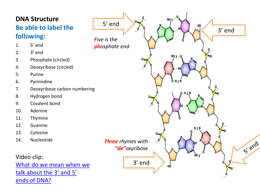- 1. 5' end
- 2. 3' end
- 3. Phosphate (circled)
- 4. Deoxyribose (circled)
- 5. Purine
- 6. Pyrimidine
- 7. Deoxyribose carbon numbering
- 8. Hydrogen bond
- 9. Covalent bond
- 10. Adenine
- 11. Thymine
- 12. Guanine
- 13. Cytosine
- 14. Nucleotide

Video clip: [What do we mean when we](https://www.youtube.com/watch?v=p835L4HWH68)  talk about the 3' and 5' [ends of DNA?](https://www.youtube.com/watch?v=p835L4HWH68)

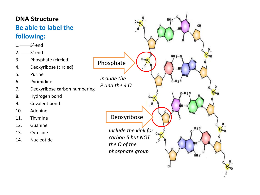- 1. 5' end
- 2. 3' end
- 3. Phosphate (circled)
- 4. Deoxyribose (circled)
- 5. Purine
- 6. Pyrimidine
- 7. Deoxyribose carbon numbering
- 8. Hydrogen bond
- 9. Covalent bond
- 10. Adenine
- 11. Thymine
- 12. Guanine
- 13. Cytosine
- 14. Nucleotide

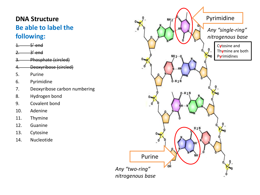- $1. 5'$  end
- 2. 3' end
- Phosphate (circled)
- 4. Deoxyribose (circled)
- 5. Purine
- 6. Pyrimidine
- 7. Deoxyribose carbon numbering
- 8. Hydrogen bond
- 9. Covalent bond
- 10. Adenine
- 11. Thymine
- 12. Guanine
- 13. Cytosine
- 14. Nucleotide

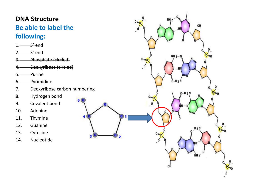1. 5' end

2. 3' end

3. Phosphate (circled)

4. Deoxyribose (circled)

5. Purine

6. Pyrimidine

7. Deoxyribose carbon numbering

8. Hydrogen bond

9. Covalent bond

10. Adenine

11. Thymine

12. Guanine

13. Cytosine

14. Nucleotide

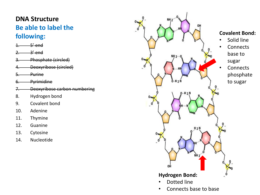- $1. 5'$  end
- $2.$   $3'$  end
- Phosphate (circled)
- 4. Deoxyribose (circled)
- 5. Purine
- 6. Pyrimidine
- 7. Deoxyribose carbon numbering
- 8. Hydrogen bond
- 9. Covalent bond
- 10. Adenine
- 11. Thymine
- 12. Guanine
- 13. Cytosine
- 14. Nucleotide

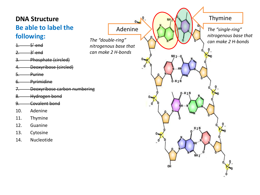- $1. 5'$  end
- 2. 3' end
- Phosphate (circled)
- 4. Deoxyribose (circled)
- 5. Purine
- 6. Pyrimidine
- 7. Deoxyribose carbon numbering
- 8. Hydrogen bond
- 9. Covalent bond
- 10. Adenine
- 11. Thymine
- 12. Guanine
- 13. Cytosine
- 14. Nucleotide

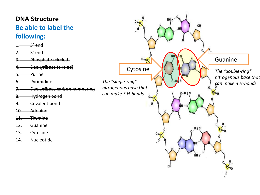- $5'$  end
- 2. 3' end
- Phosphate (circled)
- 4. Deoxyribose (circled)
- 5. Purine
- 6. Pyrimidine
- 7. Deoxyribose carbon numbering
- 8. Hydrogen bond
- 9. Covalent bond
- 10. Adenine
- 11. Thymine
- 12. Guanine
- 13. Cytosine
- 14. Nucleotide

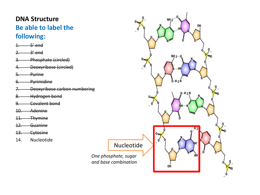- 1. 5' end
- $2.$   $3'$  end
- Phosphate (circled)
- 4. Deoxyribose (circled)
- 5. Purine
- 6. Pyrimidine
- 7. Deoxyribose carbon numbering
- 8. Hydrogen bond
- 9. Covalent bond
- 10. Adenine
- 11. Thymine
- 12. Guanine
- 13. Cytosine
- 14. Nucleotide